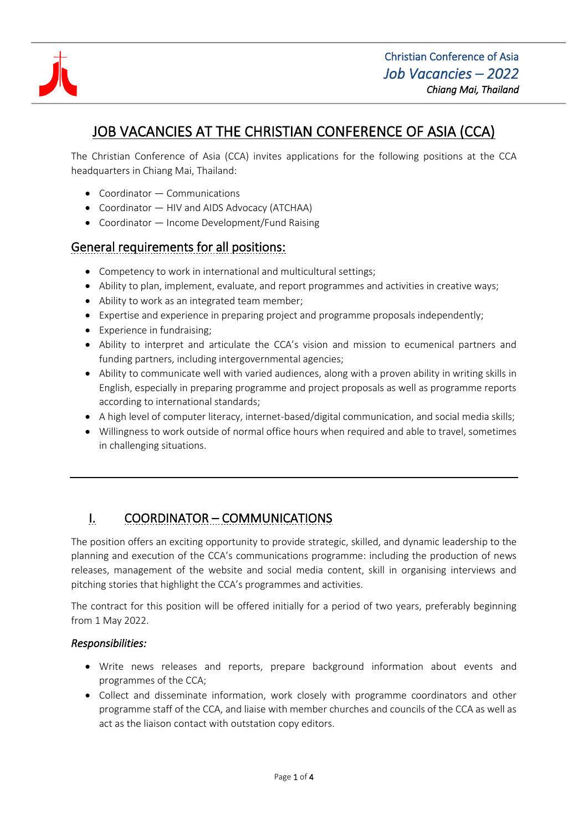

# JOB VACANCIES AT THE CHRISTIAN CONFERENCE OF ASIA (CCA)

The Christian Conference of Asia (CCA) invites applications for the following positions at the CCA headquarters in Chiang Mai, Thailand:

- Coordinator Communications
- Coordinator HIV and AIDS Advocacy (ATCHAA)
- Coordinator Income Development/Fund Raising

### General requirements for all positions:

- Competency to work in international and multicultural settings;
- Ability to plan, implement, evaluate, and report programmes and activities in creative ways;
- Ability to work as an integrated team member;
- Expertise and experience in preparing project and programme proposals independently;
- Experience in fundraising;
- Ability to interpret and articulate the CCA's vision and mission to ecumenical partners and funding partners, including intergovernmental agencies;
- Ability to communicate well with varied audiences, along with a proven ability in writing skills in English, especially in preparing programme and project proposals as well as programme reports according to international standards;
- A high level of computer literacy, internet-based/digital communication, and social media skills;
- Willingness to work outside of normal office hours when required and able to travel, sometimes in challenging situations.

## I. COORDINATOR – COMMUNICATIONS

The position offers an exciting opportunity to provide strategic, skilled, and dynamic leadership to the planning and execution of the CCA's communications programme: including the production of news releases, management of the website and social media content, skill in organising interviews and pitching stories that highlight the CCA's programmes and activities.

The contract for this position will be offered initially for a period of two years, preferably beginning from 1 May 2022.

#### *Responsibilities:*

- Write news releases and reports, prepare background information about events and programmes of the CCA;
- Collect and disseminate information, work closely with programme coordinators and other programme staff of the CCA, and liaise with member churches and councils of the CCA as well as act as the liaison contact with outstation copy editors.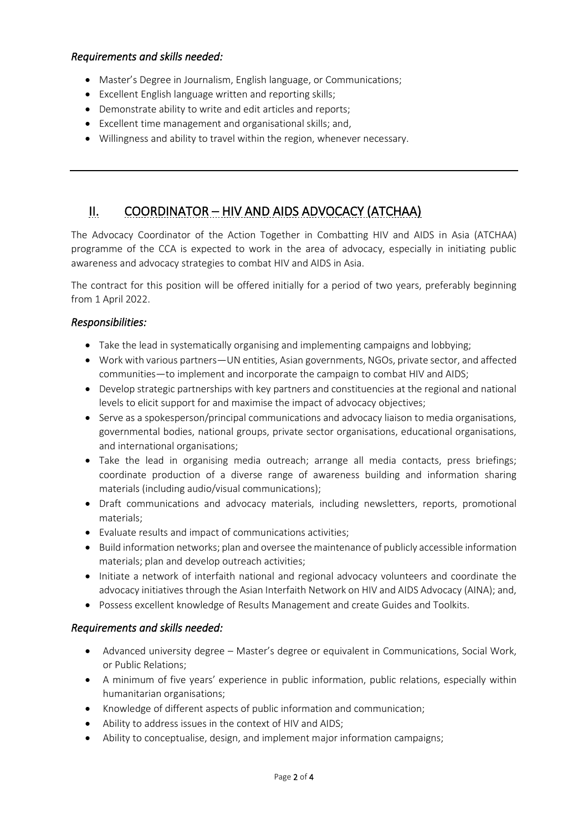#### *Requirements and skills needed:*

- Master's Degree in Journalism, English language, or Communications;
- Excellent English language written and reporting skills;
- Demonstrate ability to write and edit articles and reports;
- Excellent time management and organisational skills; and,
- Willingness and ability to travel within the region, whenever necessary.

### II. COORDINATOR – HIV AND AIDS ADVOCACY (ATCHAA)

The Advocacy Coordinator of the Action Together in Combatting HIV and AIDS in Asia (ATCHAA) programme of the CCA is expected to work in the area of advocacy, especially in initiating public awareness and advocacy strategies to combat HIV and AIDS in Asia.

The contract for this position will be offered initially for a period of two years, preferably beginning from 1 April 2022.

#### *Responsibilities:*

- Take the lead in systematically organising and implementing campaigns and lobbying;
- Work with various partners—UN entities, Asian governments, NGOs, private sector, and affected communities—to implement and incorporate the campaign to combat HIV and AIDS;
- Develop strategic partnerships with key partners and constituencies at the regional and national levels to elicit support for and maximise the impact of advocacy objectives;
- Serve as a spokesperson/principal communications and advocacy liaison to media organisations, governmental bodies, national groups, private sector organisations, educational organisations, and international organisations;
- Take the lead in organising media outreach; arrange all media contacts, press briefings; coordinate production of a diverse range of awareness building and information sharing materials (including audio/visual communications);
- Draft communications and advocacy materials, including newsletters, reports, promotional materials;
- Evaluate results and impact of communications activities;
- Build information networks; plan and oversee the maintenance of publicly accessible information materials; plan and develop outreach activities;
- Initiate a network of interfaith national and regional advocacy volunteers and coordinate the advocacy initiatives through the Asian Interfaith Network on HIV and AIDS Advocacy (AINA); and,
- Possess excellent knowledge of Results Management and create Guides and Toolkits.

#### *Requirements and skills needed:*

- Advanced university degree Master's degree or equivalent in Communications, Social Work, or Public Relations;
- A minimum of five years' experience in public information, public relations, especially within humanitarian organisations;
- Knowledge of different aspects of public information and communication;
- Ability to address issues in the context of HIV and AIDS;
- Ability to conceptualise, design, and implement major information campaigns;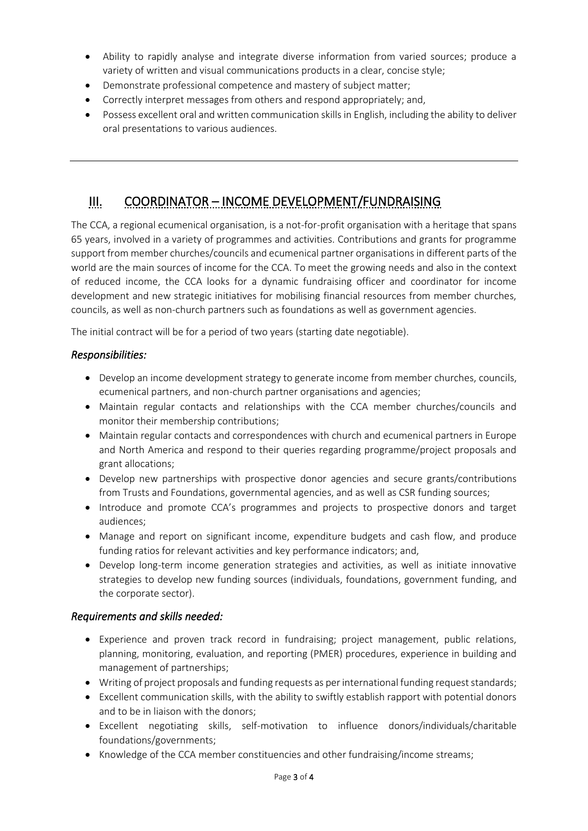- Ability to rapidly analyse and integrate diverse information from varied sources; produce a variety of written and visual communications products in a clear, concise style;
- Demonstrate professional competence and mastery of subject matter;
- Correctly interpret messages from others and respond appropriately; and,
- Possess excellent oral and written communication skills in English, including the ability to deliver oral presentations to various audiences.

### III. COORDINATOR – INCOME DEVELOPMENT/FUNDRAISING

The CCA, a regional ecumenical organisation, is a not-for-profit organisation with a heritage that spans 65 years, involved in a variety of programmes and activities. Contributions and grants for programme support from member churches/councils and ecumenical partner organisations in different parts of the world are the main sources of income for the CCA. To meet the growing needs and also in the context of reduced income, the CCA looks for a dynamic fundraising officer and coordinator for income development and new strategic initiatives for mobilising financial resources from member churches, councils, as well as non-church partners such as foundations as well as government agencies.

The initial contract will be for a period of two years (starting date negotiable).

#### *Responsibilities:*

- Develop an income development strategy to generate income from member churches, councils, ecumenical partners, and non-church partner organisations and agencies;
- Maintain regular contacts and relationships with the CCA member churches/councils and monitor their membership contributions;
- Maintain regular contacts and correspondences with church and ecumenical partners in Europe and North America and respond to their queries regarding programme/project proposals and grant allocations;
- Develop new partnerships with prospective donor agencies and secure grants/contributions from Trusts and Foundations, governmental agencies, and as well as CSR funding sources;
- Introduce and promote CCA's programmes and projects to prospective donors and target audiences;
- Manage and report on significant income, expenditure budgets and cash flow, and produce funding ratios for relevant activities and key performance indicators; and,
- Develop long-term income generation strategies and activities, as well as initiate innovative strategies to develop new funding sources (individuals, foundations, government funding, and the corporate sector).

#### *Requirements and skills needed:*

- Experience and proven track record in fundraising; project management, public relations, planning, monitoring, evaluation, and reporting (PMER) procedures, experience in building and management of partnerships;
- Writing of project proposals and funding requests as per international funding request standards;
- Excellent communication skills, with the ability to swiftly establish rapport with potential donors and to be in liaison with the donors;
- Excellent negotiating skills, self-motivation to influence donors/individuals/charitable foundations/governments;
- Knowledge of the CCA member constituencies and other fundraising/income streams;